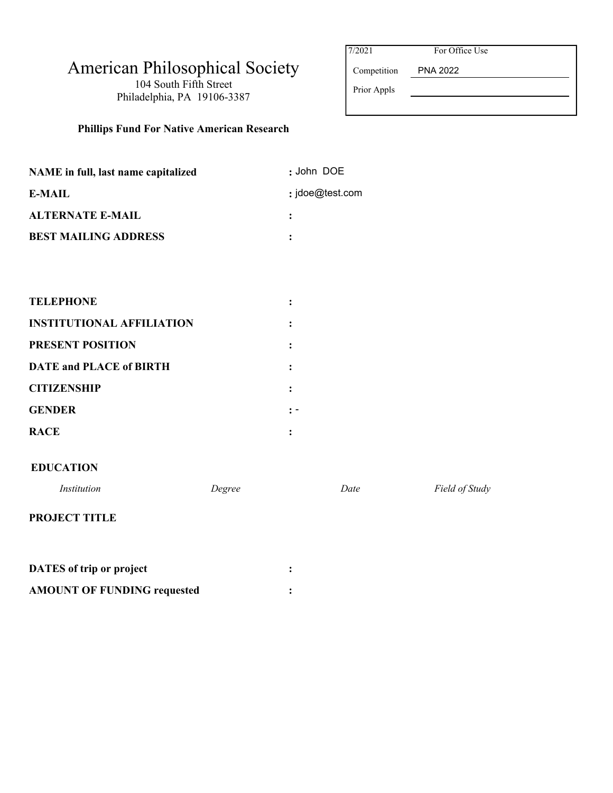# American Philosophical Society

104 South Fifth Street Philadelphia, PA 19106-3387

| 7/2021      | For Office Use |  |  |
|-------------|----------------|--|--|
| Competition | PNA 2022       |  |  |
| Prior Appls |                |  |  |

## **Phillips Fund For Native American Research**

| NAME in full, last name capitalized | : John DOE      |  |  |
|-------------------------------------|-----------------|--|--|
| E-MAIL                              | : idoe@test.com |  |  |
| <b>ALTERNATE E-MAIL</b>             |                 |  |  |
| <b>BEST MAILING ADDRESS</b>         |                 |  |  |
|                                     |                 |  |  |

| <b>TELEPHONE</b>                 |  |
|----------------------------------|--|
| <b>INSTITUTIONAL AFFILIATION</b> |  |
| <b>PRESENT POSITION</b>          |  |
| DATE and PLACE of BIRTH          |  |
| <b>CITIZENSHIP</b>               |  |
| <b>GENDER</b>                    |  |
| <b>RACE</b>                      |  |

### **EDUCATION**

| Institution          | Degree | Date | Field of Study |
|----------------------|--------|------|----------------|
| <b>PROJECT TITLE</b> |        |      |                |

| DATES of trip or project           |  |
|------------------------------------|--|
| <b>AMOUNT OF FUNDING requested</b> |  |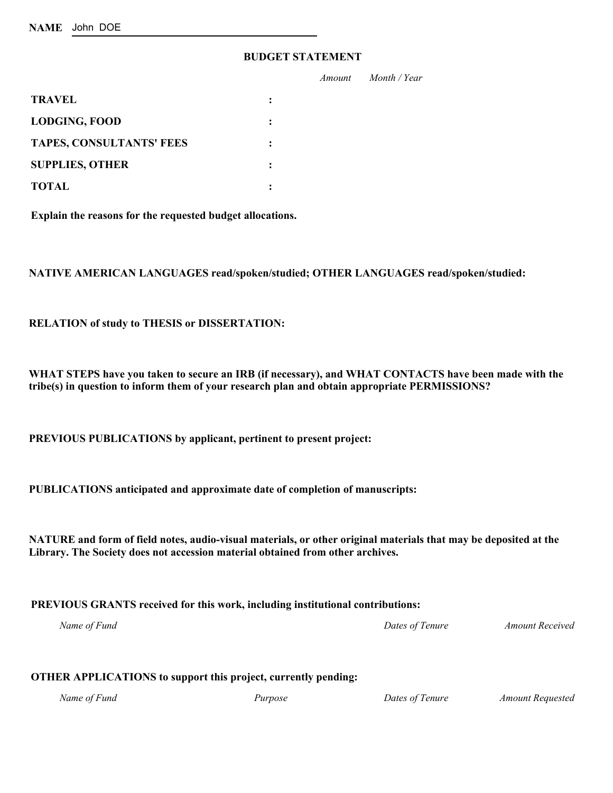#### **BUDGET STATEMENT**

|                          |   | Amount | Month / Year |
|--------------------------|---|--------|--------------|
| <b>TRAVEL</b>            |   |        |              |
| <b>LODGING, FOOD</b>     | ٠ |        |              |
| TAPES, CONSULTANTS' FEES |   |        |              |
| <b>SUPPLIES, OTHER</b>   | ٠ |        |              |
| TOTAL                    | ٠ |        |              |
|                          |   |        |              |

**Explain the reasons for the requested budget allocations.**

**NATIVE AMERICAN LANGUAGES read/spoken/studied; OTHER LANGUAGES read/spoken/studied:**

#### **RELATION of study to THESIS or DISSERTATION:**

**WHAT STEPS have you taken to secure an IRB (if necessary), and WHAT CONTACTS have been made with the tribe(s) in question to inform them of your research plan and obtain appropriate PERMISSIONS?**

**PREVIOUS PUBLICATIONS by applicant, pertinent to present project:**

**PUBLICATIONS anticipated and approximate date of completion of manuscripts:**

**NATURE and form of field notes, audio-visual materials, or other original materials that may be deposited at the Library. The Society does not accession material obtained from other archives.**

#### **PREVIOUS GRANTS received for this work, including institutional contributions:**

*Name of Fund Dates of Tenure Amount Received*

#### **OTHER APPLICATIONS to support this project, currently pending:**

*Name of Fund Purpose Dates of Tenure Amount Requested*